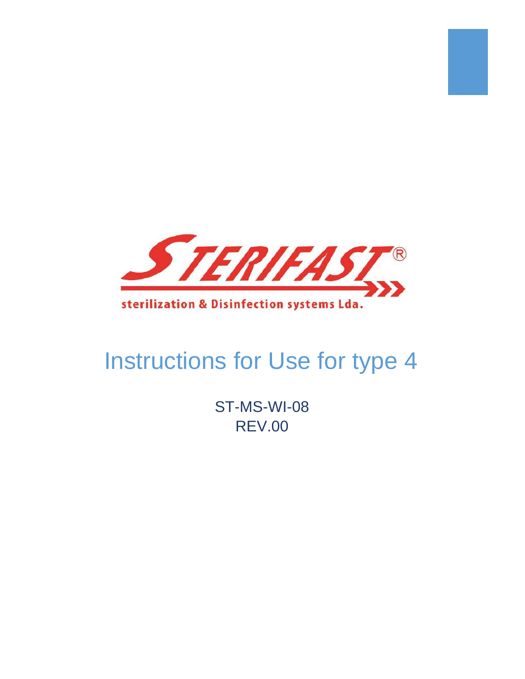

# Instructions for Use for type 4

ST-MS-WI-08 REV.00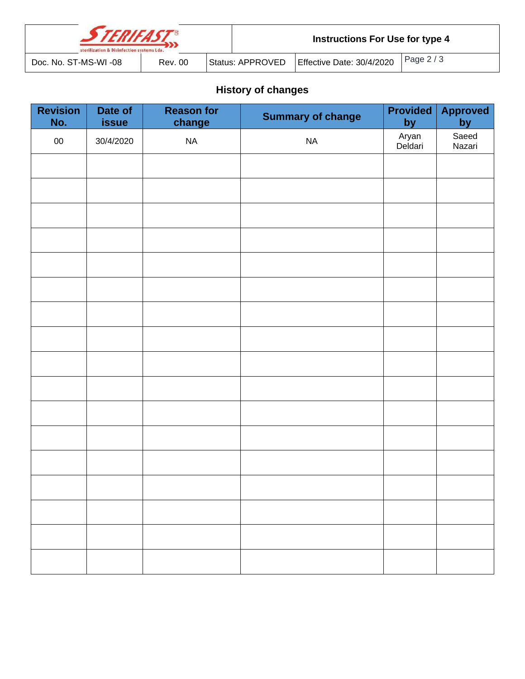| STERIFAST®<br>sterilization & Disinfection systems Lda. |         |  | <b>Instructions For Use for type 4</b> |                           |            |  |
|---------------------------------------------------------|---------|--|----------------------------------------|---------------------------|------------|--|
| Doc. No. ST-MS-WI -08                                   | Rev. 00 |  | 'Status: APPROVED                      | Effective Date: 30/4/2020 | Page $2/3$ |  |

# **History of changes**

| <b>Revision</b><br>No. | Date of<br><b>issue</b> | <b>Reason for</b><br>change | <b>Summary of change</b> | <b>Provided</b><br>by | <b>Approved</b><br>by |
|------------------------|-------------------------|-----------------------------|--------------------------|-----------------------|-----------------------|
| ${\bf 00}$             | 30/4/2020               | $\sf NA$                    | $\sf NA$                 | Aryan<br>Deldari      | Saeed<br>Nazari       |
|                        |                         |                             |                          |                       |                       |
|                        |                         |                             |                          |                       |                       |
|                        |                         |                             |                          |                       |                       |
|                        |                         |                             |                          |                       |                       |
|                        |                         |                             |                          |                       |                       |
|                        |                         |                             |                          |                       |                       |
|                        |                         |                             |                          |                       |                       |
|                        |                         |                             |                          |                       |                       |
|                        |                         |                             |                          |                       |                       |
|                        |                         |                             |                          |                       |                       |
|                        |                         |                             |                          |                       |                       |
|                        |                         |                             |                          |                       |                       |
|                        |                         |                             |                          |                       |                       |
|                        |                         |                             |                          |                       |                       |
|                        |                         |                             |                          |                       |                       |
|                        |                         |                             |                          |                       |                       |
|                        |                         |                             |                          |                       |                       |